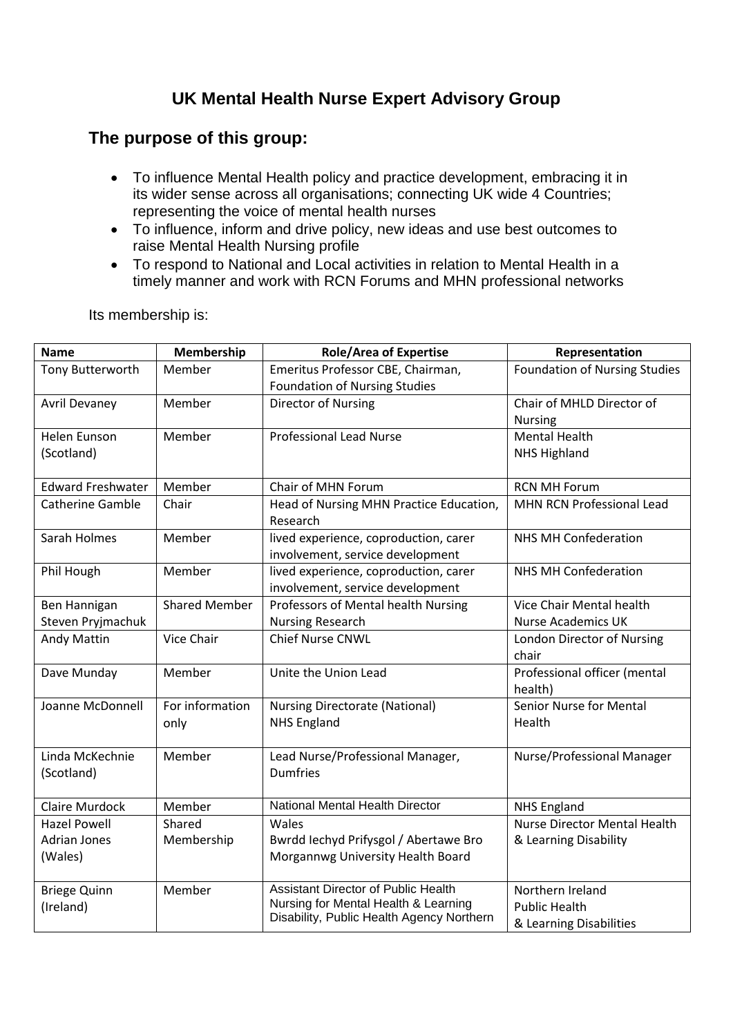## **UK Mental Health Nurse Expert Advisory Group**

## **The purpose of this group:**

- To influence Mental Health policy and practice development, embracing it in its wider sense across all organisations; connecting UK wide 4 Countries; representing the voice of mental health nurses
- To influence, inform and drive policy, new ideas and use best outcomes to raise Mental Health Nursing profile
- To respond to National and Local activities in relation to Mental Health in a timely manner and work with RCN Forums and MHN professional networks

| <b>Name</b>              | Membership           | <b>Role/Area of Expertise</b>                                             | Representation                          |
|--------------------------|----------------------|---------------------------------------------------------------------------|-----------------------------------------|
| Tony Butterworth         | Member               | Emeritus Professor CBE, Chairman,                                         | <b>Foundation of Nursing Studies</b>    |
|                          |                      | <b>Foundation of Nursing Studies</b>                                      |                                         |
| <b>Avril Devaney</b>     | Member               | Director of Nursing                                                       | Chair of MHLD Director of               |
|                          |                      |                                                                           | <b>Nursing</b>                          |
| <b>Helen Eunson</b>      | Member               | <b>Professional Lead Nurse</b>                                            | <b>Mental Health</b>                    |
| (Scotland)               |                      |                                                                           | <b>NHS Highland</b>                     |
| <b>Edward Freshwater</b> | Member               | Chair of MHN Forum                                                        | <b>RCN MH Forum</b>                     |
| <b>Catherine Gamble</b>  | Chair                | Head of Nursing MHN Practice Education,<br>Research                       | MHN RCN Professional Lead               |
| Sarah Holmes             | Member               | lived experience, coproduction, carer                                     | <b>NHS MH Confederation</b>             |
|                          |                      | involvement, service development                                          |                                         |
| Phil Hough               | Member               | lived experience, coproduction, carer<br>involvement, service development | <b>NHS MH Confederation</b>             |
| Ben Hannigan             | <b>Shared Member</b> | Professors of Mental health Nursing                                       | Vice Chair Mental health                |
| Steven Pryjmachuk        |                      | <b>Nursing Research</b>                                                   | <b>Nurse Academics UK</b>               |
| <b>Andy Mattin</b>       | Vice Chair           | Chief Nurse CNWL                                                          | London Director of Nursing<br>chair     |
| Dave Munday              | Member               | Unite the Union Lead                                                      | Professional officer (mental<br>health) |
| Joanne McDonnell         | For information      | <b>Nursing Directorate (National)</b>                                     | <b>Senior Nurse for Mental</b>          |
|                          | only                 | <b>NHS England</b>                                                        | Health                                  |
| Linda McKechnie          | Member               | Lead Nurse/Professional Manager,                                          | Nurse/Professional Manager              |
| (Scotland)               |                      | <b>Dumfries</b>                                                           |                                         |
| <b>Claire Murdock</b>    | Member               | National Mental Health Director                                           | <b>NHS England</b>                      |
| <b>Hazel Powell</b>      | Shared               | Wales                                                                     | <b>Nurse Director Mental Health</b>     |
| <b>Adrian Jones</b>      | Membership           | Bwrdd Iechyd Prifysgol / Abertawe Bro                                     | & Learning Disability                   |
| (Wales)                  |                      | Morgannwg University Health Board                                         |                                         |
| <b>Briege Quinn</b>      | Member               | <b>Assistant Director of Public Health</b>                                | Northern Ireland                        |
| (Ireland)                |                      | Nursing for Mental Health & Learning                                      | <b>Public Health</b>                    |
|                          |                      | Disability, Public Health Agency Northern                                 | & Learning Disabilities                 |

Its membership is: